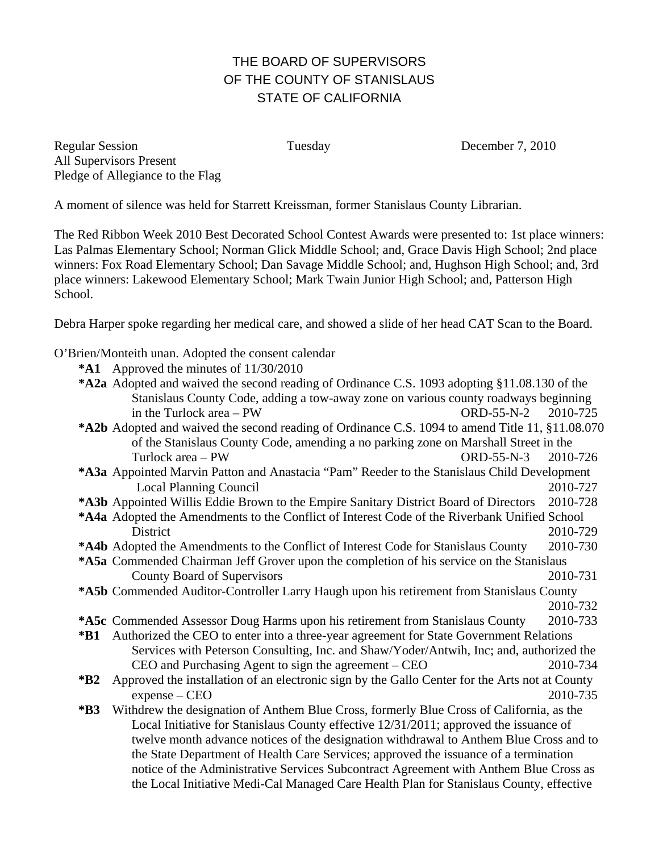# THE BOARD OF SUPERVISORS OF THE COUNTY OF STANISLAUS STATE OF CALIFORNIA

Regular Session Tuesday December 7, 2010 All Supervisors Present Pledge of Allegiance to the Flag

A moment of silence was held for Starrett Kreissman, former Stanislaus County Librarian.

The Red Ribbon Week 2010 Best Decorated School Contest Awards were presented to: 1st place winners: Las Palmas Elementary School; Norman Glick Middle School; and, Grace Davis High School; 2nd place winners: Fox Road Elementary School; Dan Savage Middle School; and, Hughson High School; and, 3rd place winners: Lakewood Elementary School; Mark Twain Junior High School; and, Patterson High School.

Debra Harper spoke regarding her medical care, and showed a slide of her head CAT Scan to the Board.

O'Brien/Monteith unan. Adopted the consent calendar

- **\*A1** Approved the minutes of 11/30/2010
- **\*A2a** Adopted and waived the second reading of Ordinance C.S. 1093 adopting §11.08.130 of the Stanislaus County Code, adding a tow-away zone on various county roadways beginning in the Turlock area – PW  $ORD-55-N-2$  2010-725
- **\*A2b** Adopted and waived the second reading of Ordinance C.S. 1094 to amend Title 11, §11.08.070 of the Stanislaus County Code, amending a no parking zone on Marshall Street in the Turlock area – PW ORD-55-N-3 2010-726
- **\*A3a** Appointed Marvin Patton and Anastacia "Pam" Reeder to the Stanislaus Child Development Local Planning Council 2010-727
- **\*A3b** Appointed Willis Eddie Brown to the Empire Sanitary District Board of Directors 2010-728
- **\*A4a** Adopted the Amendments to the Conflict of Interest Code of the Riverbank Unified School District 2010-729
- **\*A4b** Adopted the Amendments to the Conflict of Interest Code for Stanislaus County 2010-730
- **\*A5a** Commended Chairman Jeff Grover upon the completion of his service on the Stanislaus County Board of Supervisors 2010-731 **\*A5b** Commended Auditor-Controller Larry Haugh upon his retirement from Stanislaus County 2010-732
- **\*A5c** Commended Assessor Doug Harms upon his retirement from Stanislaus County 2010-733
- **\*B1** Authorized the CEO to enter into a three-year agreement for State Government Relations Services with Peterson Consulting, Inc. and Shaw/Yoder/Antwih, Inc; and, authorized the CEO and Purchasing Agent to sign the agreement – CEO 2010-734
- **\*B2** Approved the installation of an electronic sign by the Gallo Center for the Arts not at County expense – CEO 2010-735
- **\*B3** Withdrew the designation of Anthem Blue Cross, formerly Blue Cross of California, as the Local Initiative for Stanislaus County effective 12/31/2011; approved the issuance of twelve month advance notices of the designation withdrawal to Anthem Blue Cross and to the State Department of Health Care Services; approved the issuance of a termination notice of the Administrative Services Subcontract Agreement with Anthem Blue Cross as the Local Initiative Medi-Cal Managed Care Health Plan for Stanislaus County, effective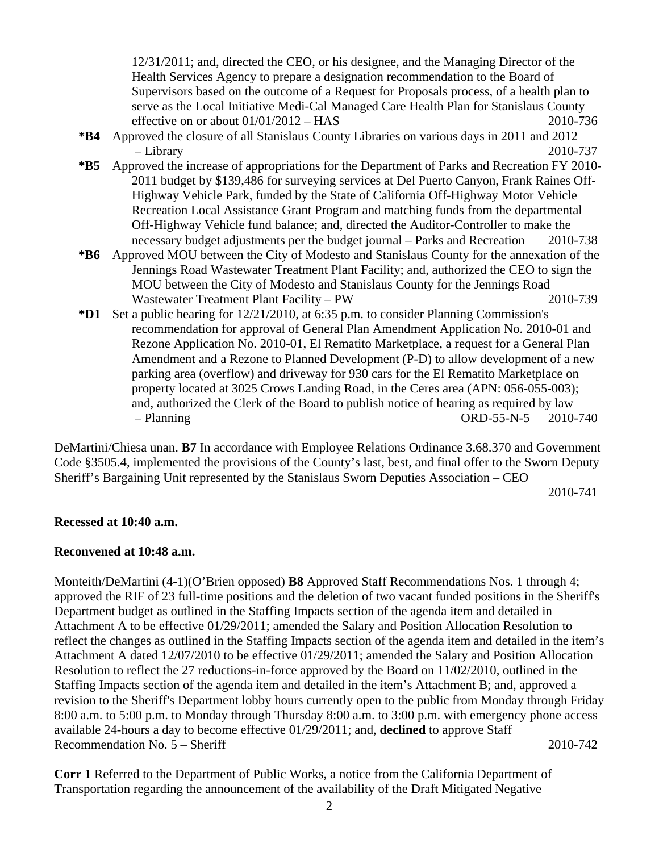12/31/2011; and, directed the CEO, or his designee, and the Managing Director of the Health Services Agency to prepare a designation recommendation to the Board of Supervisors based on the outcome of a Request for Proposals process, of a health plan to serve as the Local Initiative Medi-Cal Managed Care Health Plan for Stanislaus County effective on or about 01/01/2012 – HAS 2010-736

- **\*B4** Approved the closure of all Stanislaus County Libraries on various days in 2011 and 2012 – Library 2010-737
- **\*B5** Approved the increase of appropriations for the Department of Parks and Recreation FY 2010- 2011 budget by \$139,486 for surveying services at Del Puerto Canyon, Frank Raines Off-Highway Vehicle Park, funded by the State of California Off-Highway Motor Vehicle Recreation Local Assistance Grant Program and matching funds from the departmental Off-Highway Vehicle fund balance; and, directed the Auditor-Controller to make the necessary budget adjustments per the budget journal – Parks and Recreation 2010-738
- **\*B6** Approved MOU between the City of Modesto and Stanislaus County for the annexation of the Jennings Road Wastewater Treatment Plant Facility; and, authorized the CEO to sign the MOU between the City of Modesto and Stanislaus County for the Jennings Road Wastewater Treatment Plant Facility – PW 2010-739
- **\*D1** Set a public hearing for 12/21/2010, at 6:35 p.m. to consider Planning Commission's recommendation for approval of General Plan Amendment Application No. 2010-01 and Rezone Application No. 2010-01, El Rematito Marketplace, a request for a General Plan Amendment and a Rezone to Planned Development (P-D) to allow development of a new parking area (overflow) and driveway for 930 cars for the El Rematito Marketplace on property located at 3025 Crows Landing Road, in the Ceres area (APN: 056-055-003); and, authorized the Clerk of the Board to publish notice of hearing as required by law – Planning ORD-55-N-5 2010-740

DeMartini/Chiesa unan. **B7** In accordance with Employee Relations Ordinance 3.68.370 and Government Code §3505.4, implemented the provisions of the County's last, best, and final offer to the Sworn Deputy Sheriff's Bargaining Unit represented by the Stanislaus Sworn Deputies Association – CEO

2010-741

#### **Recessed at 10:40 a.m.**

#### **Reconvened at 10:48 a.m.**

Monteith/DeMartini (4-1)(O'Brien opposed) **B8** Approved Staff Recommendations Nos. 1 through 4; approved the RIF of 23 full-time positions and the deletion of two vacant funded positions in the Sheriff's Department budget as outlined in the Staffing Impacts section of the agenda item and detailed in Attachment A to be effective 01/29/2011; amended the Salary and Position Allocation Resolution to reflect the changes as outlined in the Staffing Impacts section of the agenda item and detailed in the item's Attachment A dated 12/07/2010 to be effective 01/29/2011; amended the Salary and Position Allocation Resolution to reflect the 27 reductions-in-force approved by the Board on 11/02/2010, outlined in the Staffing Impacts section of the agenda item and detailed in the item's Attachment B; and, approved a revision to the Sheriff's Department lobby hours currently open to the public from Monday through Friday 8:00 a.m. to 5:00 p.m. to Monday through Thursday 8:00 a.m. to 3:00 p.m. with emergency phone access available 24-hours a day to become effective 01/29/2011; and, **declined** to approve Staff Recommendation No. 5 – Sheriff 2010-742

**Corr 1** Referred to the Department of Public Works, a notice from the California Department of Transportation regarding the announcement of the availability of the Draft Mitigated Negative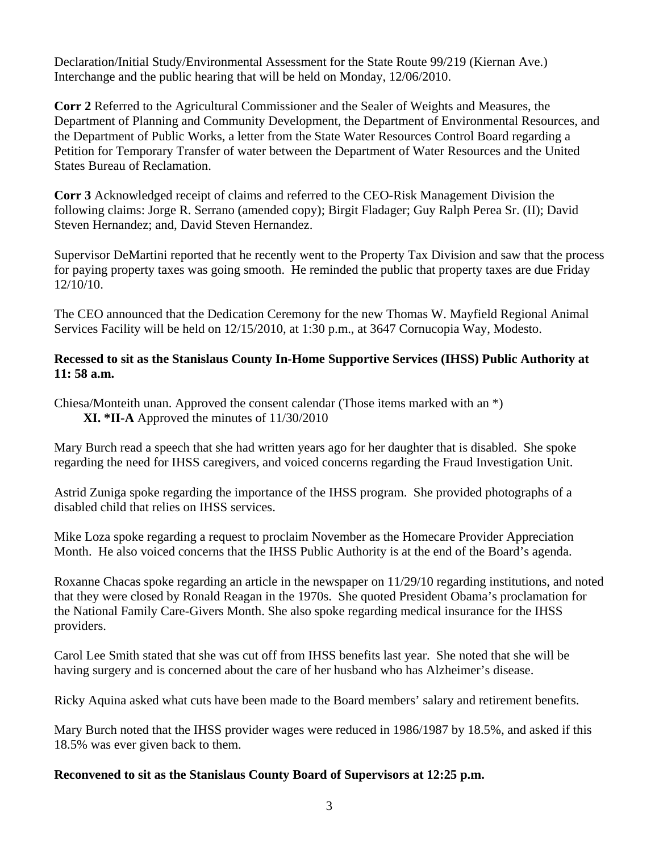Declaration/Initial Study/Environmental Assessment for the State Route 99/219 (Kiernan Ave.) Interchange and the public hearing that will be held on Monday, 12/06/2010.

**Corr 2** Referred to the Agricultural Commissioner and the Sealer of Weights and Measures, the Department of Planning and Community Development, the Department of Environmental Resources, and the Department of Public Works, a letter from the State Water Resources Control Board regarding a Petition for Temporary Transfer of water between the Department of Water Resources and the United States Bureau of Reclamation.

**Corr 3** Acknowledged receipt of claims and referred to the CEO-Risk Management Division the following claims: Jorge R. Serrano (amended copy); Birgit Fladager; Guy Ralph Perea Sr. (II); David Steven Hernandez; and, David Steven Hernandez.

Supervisor DeMartini reported that he recently went to the Property Tax Division and saw that the process for paying property taxes was going smooth. He reminded the public that property taxes are due Friday 12/10/10.

The CEO announced that the Dedication Ceremony for the new Thomas W. Mayfield Regional Animal Services Facility will be held on 12/15/2010, at 1:30 p.m., at 3647 Cornucopia Way, Modesto.

### **Recessed to sit as the Stanislaus County In-Home Supportive Services (IHSS) Public Authority at 11: 58 a.m.**

Chiesa/Monteith unan. Approved the consent calendar (Those items marked with an \*) **XI. \*II-A** Approved the minutes of 11/30/2010

Mary Burch read a speech that she had written years ago for her daughter that is disabled. She spoke regarding the need for IHSS caregivers, and voiced concerns regarding the Fraud Investigation Unit.

Astrid Zuniga spoke regarding the importance of the IHSS program. She provided photographs of a disabled child that relies on IHSS services.

Mike Loza spoke regarding a request to proclaim November as the Homecare Provider Appreciation Month. He also voiced concerns that the IHSS Public Authority is at the end of the Board's agenda.

Roxanne Chacas spoke regarding an article in the newspaper on 11/29/10 regarding institutions, and noted that they were closed by Ronald Reagan in the 1970s. She quoted President Obama's proclamation for the National Family Care-Givers Month. She also spoke regarding medical insurance for the IHSS providers.

Carol Lee Smith stated that she was cut off from IHSS benefits last year. She noted that she will be having surgery and is concerned about the care of her husband who has Alzheimer's disease.

Ricky Aquina asked what cuts have been made to the Board members' salary and retirement benefits.

Mary Burch noted that the IHSS provider wages were reduced in 1986/1987 by 18.5%, and asked if this 18.5% was ever given back to them.

## **Reconvened to sit as the Stanislaus County Board of Supervisors at 12:25 p.m.**